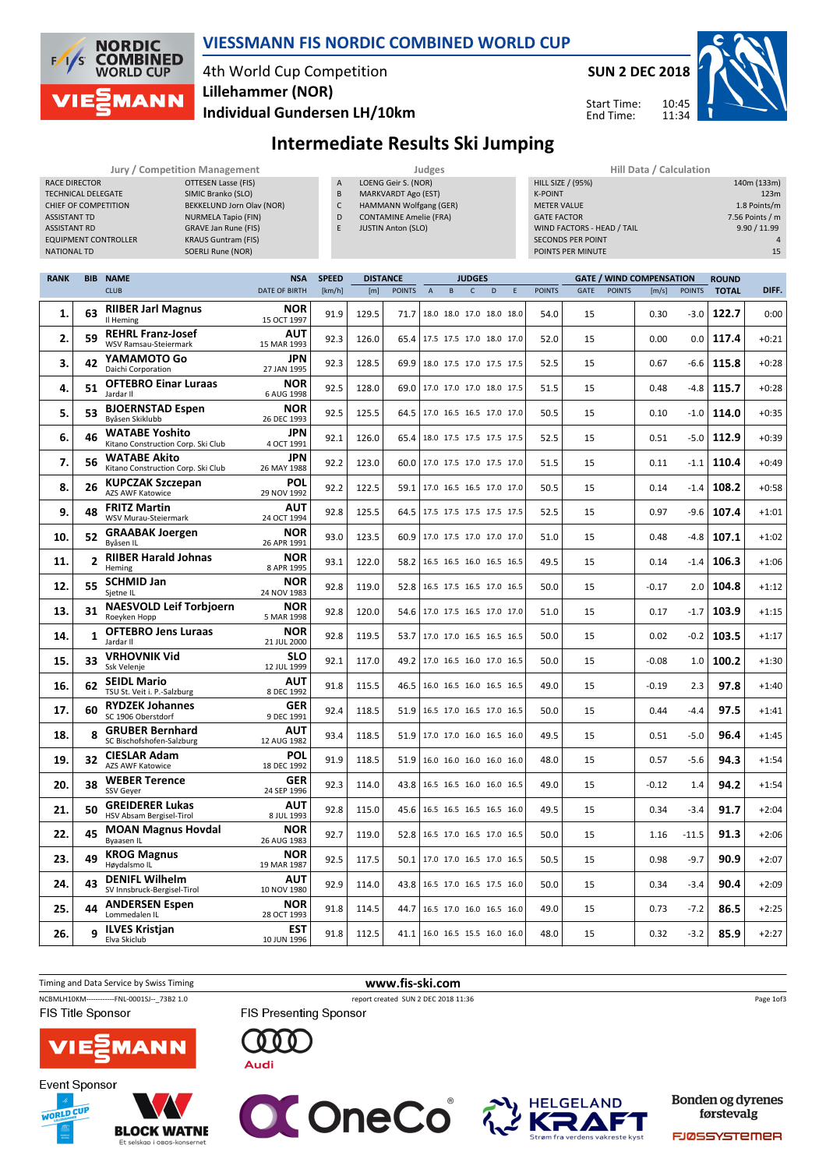

#### VIESSMANN FIS NORDIC COMBINED WORLD CUP

# 4th World Cup Competition Lillehammer (NOR)



Start Time: End Time:

10:45 11:34



Individual Gundersen LH/10km

## Intermediate Results Ski Jumping

|                             | <b>Jury / Competition Management</b> |   | <b>Judges</b>                 | Hill Data / Calculation    |  |  |  |
|-----------------------------|--------------------------------------|---|-------------------------------|----------------------------|--|--|--|
| RACE DIRECTOR               | OTTESEN Lasse (FIS)                  | A | LOENG Geir S. (NOR)           | HILL SIZE / (95%)          |  |  |  |
| <b>TECHNICAL DELEGATE</b>   | SIMIC Branko (SLO)                   | B | MARKVARDT Ago (EST)           | <b>K-POINT</b>             |  |  |  |
| CHIEF OF COMPETITION        | BEKKELUND Jorn Olav (NOR)            | J | HAMMANN Wolfgang (GER)        | <b>METER VALUE</b>         |  |  |  |
| <b>ASSISTANT TD</b>         | NURMELA Tapio (FIN)                  | D | <b>CONTAMINE Amelie (FRA)</b> | <b>GATE FACTOR</b>         |  |  |  |
| ASSISTANT RD                | <b>GRAVE Jan Rune (FIS)</b>          |   | <b>JUSTIN Anton (SLO)</b>     | WIND FACTORS - HEAD / TAIL |  |  |  |
| <b>EQUIPMENT CONTROLLER</b> | <b>KRAUS Guntram (FIS)</b>           |   |                               | <b>SECONDS PER POINT</b>   |  |  |  |
| <b>NATIONAL TD</b>          | SOERLI Rune (NOR)                    |   |                               | POINTS PER MINUTE          |  |  |  |

| Hill Data / Calculation    |                 |
|----------------------------|-----------------|
| <b>HILL SIZE / (95%)</b>   | 140m (133m)     |
| <b>K-POINT</b>             | 123m            |
| <b>METER VALUE</b>         | 1.8 Points/m    |
| <b>GATE FACTOR</b>         | 7.56 Points / m |
| WIND FACTORS - HEAD / TAIL | 9.90 / 11.99    |
| <b>SECONDS PER POINT</b>   | 4               |
| POINTS PER MINUTE          | 15              |
|                            |                 |

| <b>RANK</b> |                | <b>BIB NAME</b>                                             | <b>NSA</b>                | <b>SPEED</b> | <b>DISTANCE</b> |               |                                 |                          | <b>JUDGES</b> |   |   |               |             |               | <b>GATE / WIND COMPENSATION</b> |               | <b>ROUND</b> |         |
|-------------|----------------|-------------------------------------------------------------|---------------------------|--------------|-----------------|---------------|---------------------------------|--------------------------|---------------|---|---|---------------|-------------|---------------|---------------------------------|---------------|--------------|---------|
|             |                | <b>CLUB</b>                                                 | <b>DATE OF BIRTH</b>      | [km/h]       | [m]             | <b>POINTS</b> | $\overline{A}$                  | B.                       | $\mathsf{C}$  | D | E | <b>POINTS</b> | <b>GATE</b> | <b>POINTS</b> | [m/s]                           | <b>POINTS</b> | <b>TOTAL</b> | DIFF.   |
| 1.          | 63             | <b>RIIBER Jarl Magnus</b><br>Il Heming                      | <b>NOR</b><br>15 OCT 1997 | 91.9         | 129.5           | 71.7          |                                 | 18.0 18.0 17.0 18.0 18.0 |               |   |   | 54.0          | 15          |               | 0.30                            | $-3.0$        | 122.7        | 0:00    |
| 2.          | 59             | <b>REHRL Franz-Josef</b><br>WSV Ramsau-Steiermark           | AUT<br>15 MAR 1993        | 92.3         | 126.0           | 65.4          |                                 | 17.5 17.5 17.0 18.0 17.0 |               |   |   | 52.0          | 15          |               | 0.00                            | 0.0           | 117.4        | $+0:21$ |
| 3.          | 42             | YAMAMOTO Go<br>Daichi Corporation                           | <b>JPN</b><br>27 JAN 1995 | 92.3         | 128.5           | 69.9          |                                 | 18.0 17.5 17.0 17.5 17.5 |               |   |   | 52.5          | 15          |               | 0.67                            | -6.6          | 115.8        | $+0:28$ |
| 4.          | 51             | <b>OFTEBRO Einar Luraas</b><br>Jardar II                    | <b>NOR</b><br>6 AUG 1998  | 92.5         | 128.0           | 69.0          |                                 | 17.0 17.0 17.0 18.0 17.5 |               |   |   | 51.5          | 15          |               | 0.48                            | $-4.8$        | 115.7        | $+0:28$ |
| 5.          | 53             | <b>BJOERNSTAD Espen</b><br>Bvåsen Skiklubb                  | <b>NOR</b><br>26 DEC 1993 | 92.5         | 125.5           | 64.5          |                                 | 17.0 16.5 16.5 17.0 17.0 |               |   |   | 50.5          | 15          |               | 0.10                            | $-1.0$        | 114.0        | $+0:35$ |
| 6.          | 46             | <b>WATABE Yoshito</b><br>Kitano Construction Corp. Ski Club | <b>JPN</b><br>4 OCT 1991  | 92.1         | 126.0           | 65.4          |                                 | 18.0 17.5 17.5 17.5 17.5 |               |   |   | 52.5          | 15          |               | 0.51                            | $-5.0$        | 112.9        | $+0:39$ |
| 7.          | 56             | <b>WATABE Akito</b><br>Kitano Construction Corp. Ski Club   | <b>JPN</b><br>26 MAY 1988 | 92.2         | 123.0           |               | 60.0 17.0 17.5 17.0 17.5 17.0   |                          |               |   |   | 51.5          | 15          |               | 0.11                            | $-1.1$        | 110.4        | $+0:49$ |
| 8.          | 26             | <b>KUPCZAK Szczepan</b><br>AZS AWF Katowice                 | POL<br>29 NOV 1992        | 92.2         | 122.5           | 59.1          |                                 | 17.0 16.5 16.5 17.0 17.0 |               |   |   | 50.5          | 15          |               | 0.14                            | $-1.4$        | 108.2        | $+0:58$ |
| 9.          | 48             | <b>FRITZ Martin</b><br>WSV Murau-Steiermark                 | AUT<br>24 OCT 1994        | 92.8         | 125.5           | 64.5          |                                 | 17.5 17.5 17.5 17.5 17.5 |               |   |   | 52.5          | 15          |               | 0.97                            | $-9.6$        | 107.4        | $+1:01$ |
| 10.         | 52             | <b>GRAABAK Joergen</b><br>Byåsen IL                         | <b>NOR</b><br>26 APR 1991 | 93.0         | 123.5           | 60.9          |                                 | 17.0 17.5 17.0 17.0 17.0 |               |   |   | 51.0          | 15          |               | 0.48                            | $-4.8$        | 107.1        | $+1:02$ |
| 11.         | $\overline{2}$ | <b>RIIBER Harald Johnas</b><br>Heming                       | <b>NOR</b><br>8 APR 1995  | 93.1         | 122.0           | 58.2          |                                 | 16.5 16.5 16.0 16.5 16.5 |               |   |   | 49.5          | 15          |               | 0.14                            | $-1.4$        | 106.3        | $+1:06$ |
| 12.         | 55             | <b>SCHMID Jan</b><br>Sietne IL                              | <b>NOR</b><br>24 NOV 1983 | 92.8         | 119.0           | 52.8          |                                 | 16.5 17.5 16.5 17.0 16.5 |               |   |   | 50.0          | 15          |               | $-0.17$                         | 2.0           | 104.8        | $+1:12$ |
| 13.         | 31             | <b>NAESVOLD Leif Torbjoern</b><br>Roeyken Hopp              | <b>NOR</b><br>5 MAR 1998  | 92.8         | 120.0           | 54.6          |                                 | 17.0 17.5 16.5 17.0 17.0 |               |   |   | 51.0          | 15          |               | 0.17                            | $-1.7$        | 103.9        | $+1:15$ |
| 14.         | $\mathbf{1}$   | <b>OFTEBRO Jens Luraas</b><br>Jardar II                     | <b>NOR</b><br>21 JUL 2000 | 92.8         | 119.5           | 53.7          |                                 | 17.0 17.0 16.5 16.5 16.5 |               |   |   | 50.0          | 15          |               | 0.02                            | $-0.2$        | 103.5        | $+1:17$ |
| 15.         | 33             | <b>VRHOVNIK Vid</b><br>Ssk Velenje                          | SLO<br>12 JUL 1999        | 92.1         | 117.0           | 49.2          |                                 | 17.0 16.5 16.0 17.0 16.5 |               |   |   | 50.0          | 15          |               | $-0.08$                         | 1.0           | 100.2        | $+1:30$ |
| 16.         | 62             | <b>SEIDL Mario</b><br>TSU St. Veit i. P.-Salzburg           | AUT<br>8 DEC 1992         | 91.8         | 115.5           | 46.5          |                                 | 16.0 16.5 16.0 16.5 16.5 |               |   |   | 49.0          | 15          |               | $-0.19$                         | 2.3           | 97.8         | $+1:40$ |
| 17.         | 60             | <b>RYDZEK Johannes</b><br>SC 1906 Oberstdorf                | <b>GER</b><br>9 DEC 1991  | 92.4         | 118.5           | 51.9          |                                 | 16.5 17.0 16.5 17.0 16.5 |               |   |   | 50.0          | 15          |               | 0.44                            | $-4.4$        | 97.5         | $+1:41$ |
| 18.         | я              | <b>GRUBER Bernhard</b><br>SC Bischofshofen-Salzburg         | AUT<br>12 AUG 1982        | 93.4         | 118.5           | 51.9          |                                 | 17.0 17.0 16.0 16.5 16.0 |               |   |   | 49.5          | 15          |               | 0.51                            | $-5.0$        | 96.4         | $+1:45$ |
| 19.         | 32             | <b>CIESLAR Adam</b><br><b>AZS AWF Katowice</b>              | POL<br>18 DEC 1992        | 91.9         | 118.5           | 51.9          |                                 | 16.0 16.0 16.0 16.0 16.0 |               |   |   | 48.0          | 15          |               | 0.57                            | $-5.6$        | 94.3         | $+1:54$ |
| 20.         | 38             | <b>WEBER Terence</b><br><b>SSV Gever</b>                    | <b>GER</b><br>24 SEP 1996 | 92.3         | 114.0           | 43.8          |                                 | 16.5 16.5 16.0 16.0 16.5 |               |   |   | 49.0          | 15          |               | $-0.12$                         | 1.4           | 94.2         | $+1:54$ |
| 21.         | 50             | <b>GREIDERER Lukas</b><br>HSV Absam Bergisel-Tirol          | <b>AUT</b><br>8 JUL 1993  | 92.8         | 115.0           | 45.6          |                                 | 16.5 16.5 16.5 16.5 16.0 |               |   |   | 49.5          | 15          |               | 0.34                            | $-3.4$        | 91.7         | $+2:04$ |
| 22.         | 45             | <b>MOAN Magnus Hovdal</b><br>Byaasen IL                     | <b>NOR</b><br>26 AUG 1983 | 92.7         | 119.0           | 52.8          |                                 | 16.5 17.0 16.5 17.0 16.5 |               |   |   | 50.0          | 15          |               | 1.16                            | $-11.5$       | 91.3         | $+2:06$ |
| 23.         | 49             | <b>KROG Magnus</b><br>Høydalsmo IL                          | <b>NOR</b><br>19 MAR 1987 | 92.5         | 117.5           | 50.1          |                                 | 17.0 17.0 16.5 17.0 16.5 |               |   |   | 50.5          | 15          |               | 0.98                            | $-9.7$        | 90.9         | $+2:07$ |
| 24.         | 43             | <b>DENIFL Wilhelm</b><br>SV Innsbruck-Bergisel-Tirol        | AUT<br>10 NOV 1980        | 92.9         | 114.0           | 43.8          |                                 | 16.5 17.0 16.5 17.5 16.0 |               |   |   | 50.0          | 15          |               | 0.34                            | $-3.4$        | 90.4         | $+2:09$ |
| 25.         | 44             | <b>ANDERSEN Espen</b><br>Lommedalen IL                      | <b>NOR</b><br>28 OCT 1993 | 91.8         | 114.5           | 44.7          |                                 | 16.5 17.0 16.0 16.5 16.0 |               |   |   | 49.0          | 15          |               | 0.73                            | $-7.2$        | 86.5         | $+2:25$ |
| 26.         | q              | <b>ILVES Kristjan</b><br>Elva Skiclub                       | <b>EST</b><br>10 JUN 1996 | 91.8         | 112.5           |               | 41.1   16.0 16.5 15.5 16.0 16.0 |                          |               |   |   | 48.0          | 15          |               | 0.32                            | $-3.2$        | 85.9         | $+2:27$ |











**Bonden og dyrenes** førstevalg

**FJØSSYSTEMER**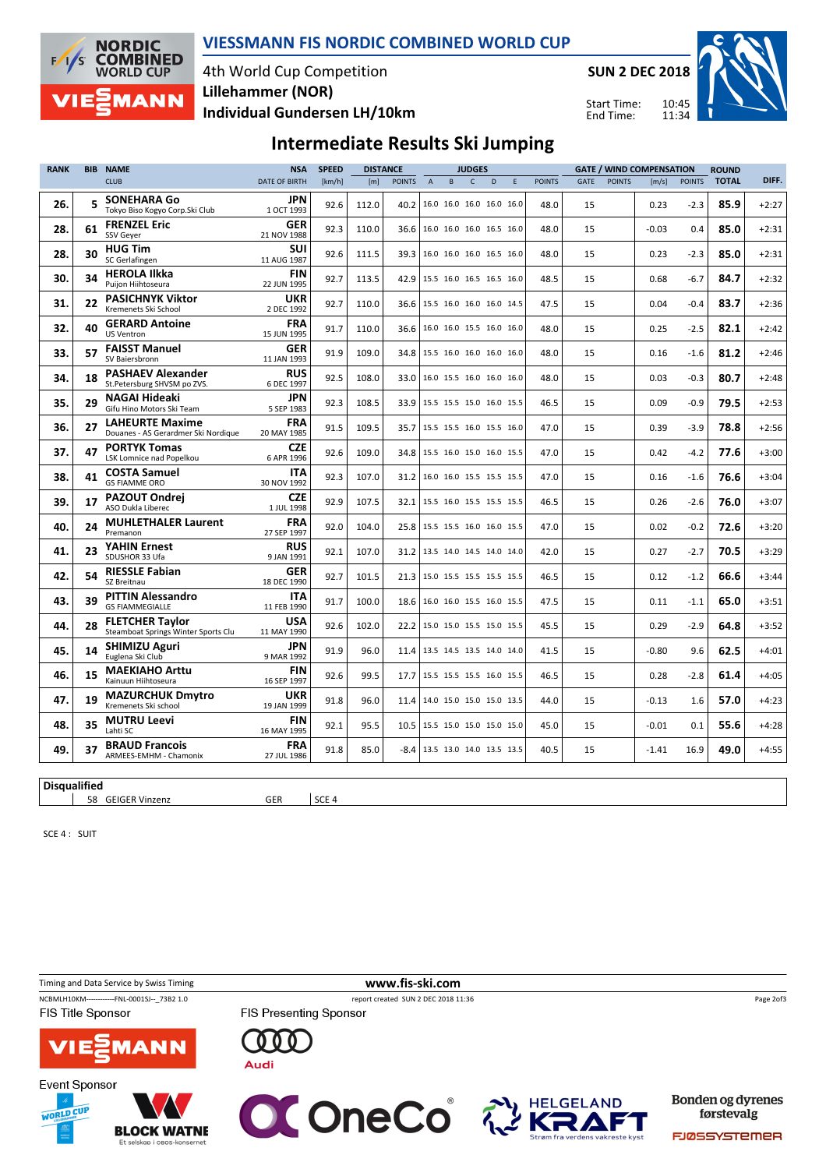

#### VIESSMANN FIS NORDIC COMBINED WORLD CUP

4th World Cup Competition Individual Gundersen LH/10km Lillehammer (NOR)

SUN 2 DEC 2018

Start Time: End Time:

10:45



### Intermediate Results Ski Jumping

| <b>RANK</b> | <b>BIB</b>          | <b>NAME</b>                                                   | <b>NSA</b>                | <b>SPEED</b> | <b>DISTANCE</b> |               | <b>JUDGES</b>  |                          | <b>GATE / WIND COMPENSATION</b> |   |   |               | <b>ROUND</b> |               |         |               |              |         |
|-------------|---------------------|---------------------------------------------------------------|---------------------------|--------------|-----------------|---------------|----------------|--------------------------|---------------------------------|---|---|---------------|--------------|---------------|---------|---------------|--------------|---------|
|             |                     | <b>CLUB</b>                                                   | <b>DATE OF BIRTH</b>      | [km/h]       | [m]             | <b>POINTS</b> | $\overline{A}$ | B                        | $\mathsf{C}$                    | D | E | <b>POINTS</b> | GATE         | <b>POINTS</b> | [m/s]   | <b>POINTS</b> | <b>TOTAL</b> | DIFF.   |
| 26.         | 5                   | <b>SONEHARA Go</b><br>Tokyo Biso Kogyo Corp.Ski Club          | JPN<br>1 OCT 1993         | 92.6         | 112.0           | 40.2          |                | 16.0 16.0 16.0 16.0 16.0 |                                 |   |   | 48.0          | 15           |               | 0.23    | $-2.3$        | 85.9         | $+2:27$ |
| 28.         | 61                  | <b>FRENZEL Eric</b><br><b>SSV Gever</b>                       | <b>GER</b><br>21 NOV 1988 | 92.3         | 110.0           | 36.6          |                | 16.0 16.0 16.0 16.5 16.0 |                                 |   |   | 48.0          | 15           |               | $-0.03$ | 0.4           | 85.0         | $+2:31$ |
| 28.         | 30                  | <b>HUG Tim</b><br>SC Gerlafingen                              | <b>SUI</b><br>11 AUG 1987 | 92.6         | 111.5           | 39.3          |                | 16.0 16.0 16.0 16.5 16.0 |                                 |   |   | 48.0          | 15           |               | 0.23    | $-2.3$        | 85.0         | $+2:31$ |
| 30.         | 34                  | <b>HEROLA Ilkka</b><br>Puijon Hiihtoseura                     | <b>FIN</b><br>22 JUN 1995 | 92.7         | 113.5           | 42.9          |                | 15.5 16.0 16.5 16.5 16.0 |                                 |   |   | 48.5          | 15           |               | 0.68    | $-6.7$        | 84.7         | $+2:32$ |
| 31.         | 22                  | <b>PASICHNYK Viktor</b><br>Kremenets Ski School               | <b>UKR</b><br>2 DEC 1992  | 92.7         | 110.0           | 36.6          |                | 15.5 16.0 16.0 16.0 14.5 |                                 |   |   | 47.5          | 15           |               | 0.04    | $-0.4$        | 83.7         | $+2:36$ |
| 32.         | 40                  | <b>GERARD Antoine</b><br><b>US Ventron</b>                    | <b>FRA</b><br>15 JUN 1995 | 91.7         | 110.0           | 36.6          |                | 16.0 16.0 15.5 16.0 16.0 |                                 |   |   | 48.0          | 15           |               | 0.25    | $-2.5$        | 82.1         | $+2:42$ |
| 33.         | 57                  | <b>FAISST Manuel</b><br>SV Baiersbronn                        | <b>GER</b><br>11 JAN 1993 | 91.9         | 109.0           | 34.8          |                | 15.5 16.0 16.0 16.0 16.0 |                                 |   |   | 48.0          | 15           |               | 0.16    | $-1.6$        | 81.2         | $+2:46$ |
| 34.         | 18                  | <b>PASHAEV Alexander</b><br>St.Petersburg SHVSM po ZVS.       | <b>RUS</b><br>6 DEC 1997  | 92.5         | 108.0           | 33.0          |                | 16.0 15.5 16.0 16.0 16.0 |                                 |   |   | 48.0          | 15           |               | 0.03    | $-0.3$        | 80.7         | $+2:48$ |
| 35.         | 29                  | <b>NAGAI Hideaki</b><br>Gifu Hino Motors Ski Team             | <b>JPN</b><br>5 SEP 1983  | 92.3         | 108.5           | 33.9          |                | 15.5 15.5 15.0 16.0 15.5 |                                 |   |   | 46.5          | 15           |               | 0.09    | $-0.9$        | 79.5         | $+2:53$ |
| 36.         | 27                  | <b>LAHEURTE Maxime</b><br>Douanes - AS Gerardmer Ski Nordique | <b>FRA</b><br>20 MAY 1985 | 91.5         | 109.5           | 35.7          |                | 15.5 15.5 16.0 15.5 16.0 |                                 |   |   | 47.0          | 15           |               | 0.39    | $-3.9$        | 78.8         | $+2:56$ |
| 37.         | 47                  | <b>PORTYK Tomas</b><br>LSK Lomnice nad Popelkou               | <b>CZE</b><br>6 APR 1996  | 92.6         | 109.0           | 34.8          |                | 15.5 16.0 15.0 16.0 15.5 |                                 |   |   | 47.0          | 15           |               | 0.42    | $-4.2$        | 77.6         | $+3:00$ |
| 38.         | 41                  | <b>COSTA Samuel</b><br><b>GS FIAMME ORO</b>                   | <b>ITA</b><br>30 NOV 1992 | 92.3         | 107.0           | 31.2          |                | 16.0 16.0 15.5 15.5 15.5 |                                 |   |   | 47.0          | 15           |               | 0.16    | $-1.6$        | 76.6         | $+3:04$ |
| 39.         | 17                  | <b>PAZOUT Ondrej</b><br>ASO Dukla Liberec                     | <b>CZE</b><br>1 JUL 1998  | 92.9         | 107.5           | 32.1          |                | 15.5 16.0 15.5 15.5 15.5 |                                 |   |   | 46.5          | 15           |               | 0.26    | $-2.6$        | 76.0         | $+3:07$ |
| 40.         | 24                  | <b>MUHLETHALER Laurent</b><br>Premanon                        | <b>FRA</b><br>27 SEP 1997 | 92.0         | 104.0           | 25.8          |                | 15.5 15.5 16.0 16.0 15.5 |                                 |   |   | 47.0          | 15           |               | 0.02    | $-0.2$        | 72.6         | $+3:20$ |
| 41.         | 23                  | <b>YAHIN Ernest</b><br>SDUSHOR 33 Ufa                         | <b>RUS</b><br>9 JAN 1991  | 92.1         | 107.0           | 31.2          |                | 13.5 14.0 14.5 14.0 14.0 |                                 |   |   | 42.0          | 15           |               | 0.27    | $-2.7$        | 70.5         | $+3:29$ |
| 42.         | 54                  | <b>RIESSLE Fabian</b><br>SZ Breitnau                          | GER<br>18 DEC 1990        | 92.7         | 101.5           | 21.3          |                | 15.0 15.5 15.5 15.5 15.5 |                                 |   |   | 46.5          | 15           |               | 0.12    | $-1.2$        | 66.6         | $+3:44$ |
| 43.         | 39                  | <b>PITTIN Alessandro</b><br><b>GS FIAMMEGIALLE</b>            | <b>ITA</b><br>11 FEB 1990 | 91.7         | 100.0           | 18.6          |                | 16.0 16.0 15.5 16.0 15.5 |                                 |   |   | 47.5          | 15           |               | 0.11    | $-1.1$        | 65.0         | $+3:51$ |
| 44.         | 28                  | <b>FLETCHER Taylor</b><br>Steamboat Springs Winter Sports Clu | <b>USA</b><br>11 MAY 1990 | 92.6         | 102.0           | 22.2          |                | 15.0 15.0 15.5 15.0 15.5 |                                 |   |   | 45.5          | 15           |               | 0.29    | $-2.9$        | 64.8         | $+3:52$ |
| 45.         | 14                  | <b>SHIMIZU Aguri</b><br>Euglena Ski Club                      | JPN<br>9 MAR 1992         | 91.9         | 96.0            | 11.4          |                | 13.5 14.5 13.5 14.0 14.0 |                                 |   |   | 41.5          | 15           |               | $-0.80$ | 9.6           | 62.5         | $+4:01$ |
| 46.         | 15                  | <b>MAEKIAHO Arttu</b><br>Kainuun Hiihtoseura                  | <b>FIN</b><br>16 SEP 1997 | 92.6         | 99.5            | 17.7          |                | 15.5 15.5 15.5 16.0 15.5 |                                 |   |   | 46.5          | 15           |               | 0.28    | $-2.8$        | 61.4         | $+4:05$ |
| 47.         | 19                  | <b>MAZURCHUK Dmytro</b><br>Kremenets Ski school               | <b>UKR</b><br>19 JAN 1999 | 91.8         | 96.0            | 11.4          |                | 14.0 15.0 15.0 15.0 13.5 |                                 |   |   | 44.0          | 15           |               | $-0.13$ | 1.6           | 57.0         | $+4:23$ |
| 48.         | 35                  | <b>MUTRU Leevi</b><br>Lahti SC                                | <b>FIN</b><br>16 MAY 1995 | 92.1         | 95.5            | 10.5          |                | 15.5 15.0 15.0 15.0 15.0 |                                 |   |   | 45.0          | 15           |               | -0.01   | 0.1           | 55.6         | +4:28   |
| 49.         | 37                  | <b>BRAUD Francois</b><br>ARMEES-EMHM - Chamonix               | <b>FRA</b><br>27 JUL 1986 | 91.8         | 85.0            | $-8.4$        |                | 13.5 13.0 14.0 13.5 13.5 |                                 |   |   | 40.5          | 15           |               | $-1.41$ | 16.9          | 49.0         | $+4:55$ |
|             | <b>Disqualified</b> |                                                               |                           |              |                 |               |                |                          |                                 |   |   |               |              |               |         |               |              |         |

58 GEIGER Vinzenz GER SCE 4

SCE 4 : SUIT